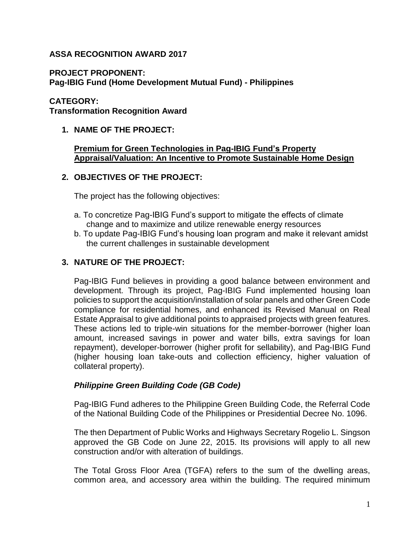## **ASSA RECOGNITION AWARD 2017**

## **PROJECT PROPONENT:**

**Pag-IBIG Fund (Home Development Mutual Fund) - Philippines**

## **CATEGORY:**

**Transformation Recognition Award**

## **1. NAME OF THE PROJECT:**

## **Premium for Green Technologies in Pag-IBIG Fund's Property Appraisal/Valuation: An Incentive to Promote Sustainable Home Design**

## **2. OBJECTIVES OF THE PROJECT:**

The project has the following objectives:

- a. To concretize Pag-IBIG Fund's support to mitigate the effects of climate change and to maximize and utilize renewable energy resources
- b. To update Pag-IBIG Fund's housing loan program and make it relevant amidst the current challenges in sustainable development

## **3. NATURE OF THE PROJECT:**

Pag-IBIG Fund believes in providing a good balance between environment and development. Through its project, Pag-IBIG Fund implemented housing loan policies to support the acquisition/installation of solar panels and other Green Code compliance for residential homes, and enhanced its Revised Manual on Real Estate Appraisal to give additional points to appraised projects with green features. These actions led to triple-win situations for the member-borrower (higher loan amount, increased savings in power and water bills, extra savings for loan repayment), developer-borrower (higher profit for sellability), and Pag-IBIG Fund (higher housing loan take-outs and collection efficiency, higher valuation of collateral property).

## *Philippine Green Building Code (GB Code)*

Pag-IBIG Fund adheres to the Philippine Green Building Code, the Referral Code of the National Building Code of the Philippines or Presidential Decree No. 1096.

The then Department of Public Works and Highways Secretary Rogelio L. Singson approved the GB Code on June 22, 2015. Its provisions will apply to all new construction and/or with alteration of buildings.

The Total Gross Floor Area (TGFA) refers to the sum of the dwelling areas, common area, and accessory area within the building. The required minimum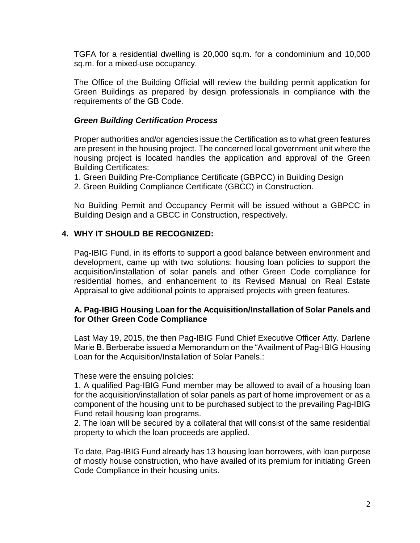TGFA for a residential dwelling is 20,000 sq.m. for a condominium and 10,000 sq.m. for a mixed-use occupancy.

The Office of the Building Official will review the building permit application for Green Buildings as prepared by design professionals in compliance with the requirements of the GB Code.

#### *Green Building Certification Process*

Proper authorities and/or agencies issue the Certification as to what green features are present in the housing project. The concerned local government unit where the housing project is located handles the application and approval of the Green Building Certificates:

- 1. Green Building Pre-Compliance Certificate (GBPCC) in Building Design
- 2. Green Building Compliance Certificate (GBCC) in Construction.

No Building Permit and Occupancy Permit will be issued without a GBPCC in Building Design and a GBCC in Construction, respectively.

## **4. WHY IT SHOULD BE RECOGNIZED:**

Pag-IBIG Fund, in its efforts to support a good balance between environment and development, came up with two solutions: housing loan policies to support the acquisition/installation of solar panels and other Green Code compliance for residential homes, and enhancement to its Revised Manual on Real Estate Appraisal to give additional points to appraised projects with green features.

#### **A. Pag-IBIG Housing Loan for the Acquisition/Installation of Solar Panels and for Other Green Code Compliance**

Last May 19, 2015, the then Pag-IBIG Fund Chief Executive Officer Atty. Darlene Marie B. Berberabe issued a Memorandum on the "Availment of Pag-IBIG Housing Loan for the Acquisition/Installation of Solar Panels.:

#### These were the ensuing policies:

1. A qualified Pag-IBIG Fund member may be allowed to avail of a housing loan for the acquisition/installation of solar panels as part of home improvement or as a component of the housing unit to be purchased subject to the prevailing Pag-IBIG Fund retail housing loan programs.

2. The loan will be secured by a collateral that will consist of the same residential property to which the loan proceeds are applied.

To date, Pag-IBIG Fund already has 13 housing loan borrowers, with loan purpose of mostly house construction, who have availed of its premium for initiating Green Code Compliance in their housing units.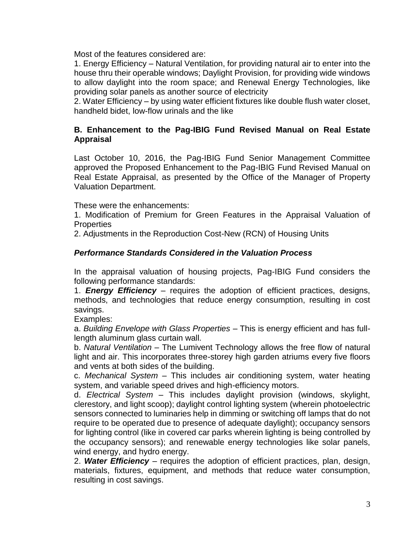Most of the features considered are:

1. Energy Efficiency – Natural Ventilation, for providing natural air to enter into the house thru their operable windows; Daylight Provision, for providing wide windows to allow daylight into the room space; and Renewal Energy Technologies, like providing solar panels as another source of electricity

2. Water Efficiency – by using water efficient fixtures like double flush water closet, handheld bidet, low-flow urinals and the like

## **B. Enhancement to the Pag-IBIG Fund Revised Manual on Real Estate Appraisal**

Last October 10, 2016, the Pag-IBIG Fund Senior Management Committee approved the Proposed Enhancement to the Pag-IBIG Fund Revised Manual on Real Estate Appraisal, as presented by the Office of the Manager of Property Valuation Department.

These were the enhancements:

1. Modification of Premium for Green Features in the Appraisal Valuation of **Properties** 

2. Adjustments in the Reproduction Cost-New (RCN) of Housing Units

## *Performance Standards Considered in the Valuation Process*

In the appraisal valuation of housing projects, Pag-IBIG Fund considers the following performance standards:

1. *Energy Efficiency* – requires the adoption of efficient practices, designs, methods, and technologies that reduce energy consumption, resulting in cost savings.

Examples:

a. *Building Envelope with Glass Properties* – This is energy efficient and has fulllength aluminum glass curtain wall.

b. *Natural Ventilation* – The Lumivent Technology allows the free flow of natural light and air. This incorporates three-storey high garden atriums every five floors and vents at both sides of the building.

c. *Mechanical System* – This includes air conditioning system, water heating system, and variable speed drives and high-efficiency motors.

d. *Electrical System* – This includes daylight provision (windows, skylight, clerestory, and light scoop); daylight control lighting system (wherein photoelectric sensors connected to luminaries help in dimming or switching off lamps that do not require to be operated due to presence of adequate daylight); occupancy sensors for lighting control (like in covered car parks wherein lighting is being controlled by the occupancy sensors); and renewable energy technologies like solar panels, wind energy, and hydro energy.

2. *Water Efficiency* – requires the adoption of efficient practices, plan, design, materials, fixtures, equipment, and methods that reduce water consumption, resulting in cost savings.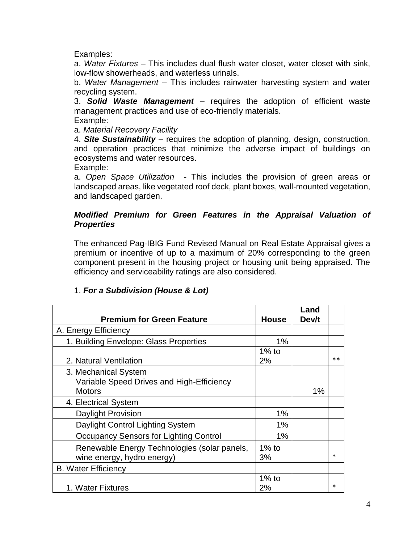Examples:

a. *Water Fixtures* – This includes dual flush water closet, water closet with sink, low-flow showerheads, and waterless urinals.

b. *Water Management* – This includes rainwater harvesting system and water recycling system.

3. *Solid Waste Management* – requires the adoption of efficient waste management practices and use of eco-friendly materials.

Example:

a. *Material Recovery Facility*

4. *Site Sustainability* – requires the adoption of planning, design, construction, and operation practices that minimize the adverse impact of buildings on ecosystems and water resources.

Example:

a. *Open Space Utilization* - This includes the provision of green areas or landscaped areas, like vegetated roof deck, plant boxes, wall-mounted vegetation, and landscaped garden.

## *Modified Premium for Green Features in the Appraisal Valuation of Properties*

The enhanced Pag-IBIG Fund Revised Manual on Real Estate Appraisal gives a premium or incentive of up to a maximum of 20% corresponding to the green component present in the housing project or housing unit being appraised. The efficiency and serviceability ratings are also considered.

| <b>Premium for Green Feature</b>                                           | <b>House</b>   | Land<br>Dev/t |      |
|----------------------------------------------------------------------------|----------------|---------------|------|
| A. Energy Efficiency                                                       |                |               |      |
| 1. Building Envelope: Glass Properties                                     | 1%             |               |      |
| 2. Natural Ventilation                                                     | $1\%$ to<br>2% |               | $**$ |
| 3. Mechanical System                                                       |                |               |      |
| Variable Speed Drives and High-Efficiency<br><b>Motors</b>                 |                | 1%            |      |
| 4. Electrical System                                                       |                |               |      |
| <b>Daylight Provision</b>                                                  | 1%             |               |      |
| Daylight Control Lighting System                                           | 1%             |               |      |
| <b>Occupancy Sensors for Lighting Control</b>                              | 1%             |               |      |
| Renewable Energy Technologies (solar panels,<br>wine energy, hydro energy) | $1\%$ to<br>3% |               | *    |
| <b>B. Water Efficiency</b>                                                 |                |               |      |
| 1. Water Fixtures                                                          | $1\%$ to<br>2% |               | *    |

## 1. *For a Subdivision (House & Lot)*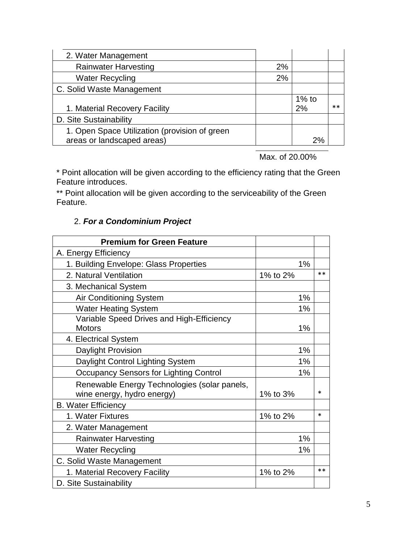| 2. Water Management                                                         |    |                |      |
|-----------------------------------------------------------------------------|----|----------------|------|
| <b>Rainwater Harvesting</b>                                                 | 2% |                |      |
| <b>Water Recycling</b>                                                      | 2% |                |      |
| C. Solid Waste Management                                                   |    |                |      |
| 1. Material Recovery Facility                                               |    | $1\%$ to<br>2% | $**$ |
| D. Site Sustainability                                                      |    |                |      |
| 1. Open Space Utilization (provision of green<br>areas or landscaped areas) |    | 2%             |      |

Max. of 20.00%

\* Point allocation will be given according to the efficiency rating that the Green Feature introduces.

\*\* Point allocation will be given according to the serviceability of the Green Feature.

# 2. *For a Condominium Project*

| <b>Premium for Green Feature</b>              |          |       |
|-----------------------------------------------|----------|-------|
| A. Energy Efficiency                          |          |       |
| 1. Building Envelope: Glass Properties        | 1%       |       |
| 2. Natural Ventilation                        | 1% to 2% | $**$  |
| 3. Mechanical System                          |          |       |
| Air Conditioning System                       | 1%       |       |
| <b>Water Heating System</b>                   | 1%       |       |
| Variable Speed Drives and High-Efficiency     |          |       |
| <b>Motors</b>                                 | 1%       |       |
| 4. Electrical System                          |          |       |
| Daylight Provision                            | 1%       |       |
| Daylight Control Lighting System              | 1%       |       |
| <b>Occupancy Sensors for Lighting Control</b> | 1%       |       |
| Renewable Energy Technologies (solar panels,  |          |       |
| wine energy, hydro energy)                    | 1% to 3% | *     |
| <b>B. Water Efficiency</b>                    |          |       |
| 1. Water Fixtures                             | 1% to 2% | *     |
| 2. Water Management                           |          |       |
| <b>Rainwater Harvesting</b>                   | 1%       |       |
| <b>Water Recycling</b>                        | 1%       |       |
| C. Solid Waste Management                     |          |       |
| 1. Material Recovery Facility                 | 1% to 2% | $***$ |
| D. Site Sustainability                        |          |       |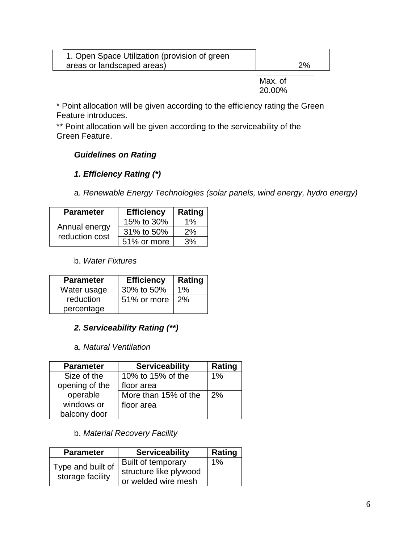| 1. Open Space Utilization (provision of green |    |  |
|-----------------------------------------------|----|--|
| areas or landscaped areas)                    | 2% |  |

Max. of 20.00%

\* Point allocation will be given according to the efficiency rating the Green Feature introduces.

\*\* Point allocation will be given according to the serviceability of the Green Feature.

# *Guidelines on Rating*

# *1. Efficiency Rating (\*)*

a. *Renewable Energy Technologies (solar panels, wind energy, hydro energy)*

| <b>Parameter</b>                | <b>Efficiency</b> | Rating |
|---------------------------------|-------------------|--------|
|                                 | 15% to 30%        | 1%     |
| Annual energy<br>reduction cost | 31% to 50%        | 2%     |
|                                 | 51% or more       | 3%     |

## b. *Water Fixtures*

| <b>Parameter</b> | <b>Efficiency</b> | Rating              |
|------------------|-------------------|---------------------|
| Water usage      | 30% to 50%        | 1%                  |
| reduction        | 51% or more       | $\frac{12\%}{12\%}$ |
| percentage       |                   |                     |

# *2. Serviceability Rating (\*\*)*

## a. *Natural Ventilation*

| <b>Parameter</b> | <b>Serviceability</b> | Rating |
|------------------|-----------------------|--------|
| Size of the      | 10% to 15% of the     | 1%     |
| opening of the   | floor area            |        |
| operable         | More than 15% of the  | 2%     |
| windows or       | floor area            |        |
| balcony door     |                       |        |

# b. *Material Recovery Facility*

| <b>Parameter</b>  | <b>Serviceability</b>  | Rating |
|-------------------|------------------------|--------|
| Type and built of | Built of temporary     | $1\%$  |
| storage facility  | structure like plywood |        |
|                   | or welded wire mesh    |        |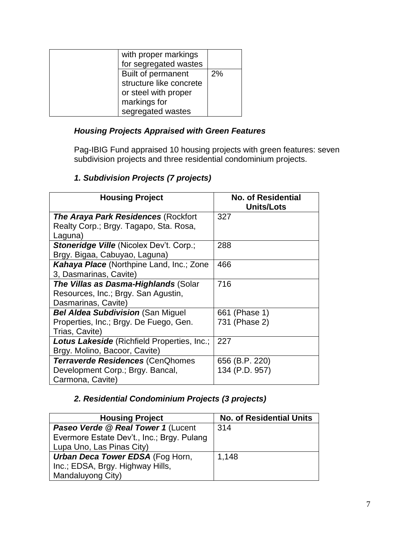| with proper markings    |    |
|-------------------------|----|
| for segregated wastes   |    |
| Built of permanent      | 2% |
| structure like concrete |    |
| or steel with proper    |    |
| markings for            |    |
| segregated wastes       |    |

## *Housing Projects Appraised with Green Features*

Pag-IBIG Fund appraised 10 housing projects with green features: seven subdivision projects and three residential condominium projects.

## *1. Subdivision Projects (7 projects)*

| <b>Housing Project</b>                             | <b>No. of Residential</b><br><b>Units/Lots</b> |
|----------------------------------------------------|------------------------------------------------|
| <b>The Araya Park Residences (Rockfort</b>         | 327                                            |
| Realty Corp.; Brgy. Tagapo, Sta. Rosa,             |                                                |
| Laguna)                                            |                                                |
| <b>Stoneridge Ville (Nicolex Dev't. Corp.;</b>     | 288                                            |
| Brgy. Bigaa, Cabuyao, Laguna)                      |                                                |
| Kahaya Place (Northpine Land, Inc.; Zone           | 466                                            |
| 3, Dasmarinas, Cavite)                             |                                                |
| <b>The Villas as Dasma-Highlands (Solar</b>        | 716                                            |
| Resources, Inc.; Brgy. San Agustin,                |                                                |
| Dasmarinas, Cavite)                                |                                                |
| <b>Bel Aldea Subdivision (San Miguel)</b>          | 661 (Phase 1)                                  |
| Properties, Inc.; Brgy. De Fuego, Gen.             | 731 (Phase 2)                                  |
| Trias, Cavite)                                     |                                                |
| <b>Lotus Lakeside</b> (Richfield Properties, Inc.; | 227                                            |
| Brgy. Molino, Bacoor, Cavite)                      |                                                |
| <b>Terraverde Residences (CenQhomes</b>            | 656 (B.P. 220)                                 |
| Development Corp.; Brgy. Bancal,                   | 134 (P.D. 957)                                 |
| Carmona, Cavite)                                   |                                                |

# *2. Residential Condominium Projects (3 projects)*

| <b>Housing Project</b>                     | <b>No. of Residential Units</b> |
|--------------------------------------------|---------------------------------|
| Paseo Verde @ Real Tower 1 (Lucent         | 314                             |
| Evermore Estate Dev't., Inc.; Brgy. Pulang |                                 |
| Lupa Uno, Las Pinas City)                  |                                 |
| <b>Urban Deca Tower EDSA (Fog Horn,</b>    | 1,148                           |
| Inc.; EDSA, Brgy. Highway Hills,           |                                 |
| Mandaluyong City)                          |                                 |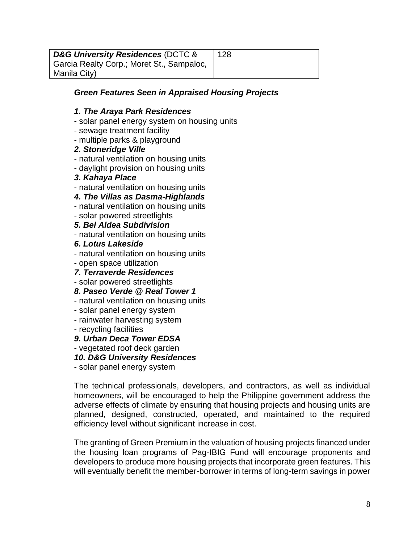*D&G University Residences* (DCTC & Garcia Realty Corp.; Moret St., Sampaloc, Manila City)

## *Green Features Seen in Appraised Housing Projects*

#### *1. The Araya Park Residences*

- solar panel energy system on housing units
- sewage treatment facility
- multiple parks & playground

#### *2. Stoneridge Ville*

- natural ventilation on housing units
- daylight provision on housing units

#### *3. Kahaya Place*

- natural ventilation on housing units

## *4. The Villas as Dasma-Highlands*

- natural ventilation on housing units
- solar powered streetlights
- *5. Bel Aldea Subdivision*
- natural ventilation on housing units

#### *6. Lotus Lakeside*

- natural ventilation on housing units
- open space utilization

## *7. Terraverde Residences*

- solar powered streetlights
- *8. Paseo Verde @ Real Tower 1*
- natural ventilation on housing units
- solar panel energy system
- rainwater harvesting system
- recycling facilities

## *9. Urban Deca Tower EDSA*

- vegetated roof deck garden

## *10. D&G University Residences*

- solar panel energy system

The technical professionals, developers, and contractors, as well as individual homeowners, will be encouraged to help the Philippine government address the adverse effects of climate by ensuring that housing projects and housing units are planned, designed, constructed, operated, and maintained to the required efficiency level without significant increase in cost.

The granting of Green Premium in the valuation of housing projects financed under the housing loan programs of Pag-IBIG Fund will encourage proponents and developers to produce more housing projects that incorporate green features. This will eventually benefit the member-borrower in terms of long-term savings in power